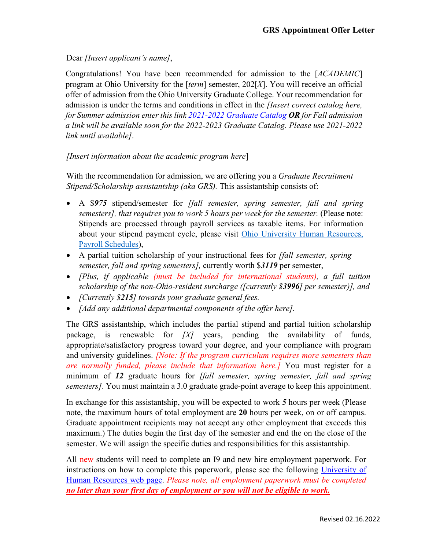Dear *[Insert applicant's name]*,

Congratulations! You have been recommended for admission to the [*ACADEMIC*] program at Ohio University for the [*term*] semester, 202[*X*]. You will receive an official offer of admission from the Ohio University Graduate College. Your recommendation for admission is under the terms and conditions in effect in the *[Insert correct catalog here, for Summer admission enter this link [2021-2022 Graduate Catalog](https://www.catalogs.ohio.edu/index.php?catoid=71) OR for Fall admission a link will be available soon for the 2022-2023 Graduate Catalog. Please use 2021-2022 link until available]*.

## *[Insert information about the academic program here*]

With the recommendation for admission, we are offering you a *Graduate Recruitment Stipend/Scholarship assistantship (aka GRS).* This assistantship consists of:

- A \$*975* stipend/semester for *[fall semester, spring semester, fall and spring semesters], that requires you to work 5 hours per week for the semester.* (Please note: Stipends are processed through payroll services as taxable items. For information about your stipend payment cycle, please visit [Ohio](https://www.ohio.edu/hr/compensation-pay/payroll-schedules) [University Human Resources,](https://www.ohio.edu/hr/compensation-pay/payroll-schedules)  Payroll [Schedules\)](https://www.ohio.edu/hr/compensation-pay/payroll-schedules),
- A partial tuition scholarship of your instructional fees for *[fall semester, spring semester, fall and spring semesters],* currently worth \$*3119* per semester,
- *[Plus, if applicable (must be included for international students), a full tuition scholarship of the non-Ohio-resident surcharge ([currently \$3996] per semester)], and*
- *[Currently \$215] towards your graduate general fees.*
- *[Add any additional departmental components of the offer here].*

The GRS assistantship, which includes the partial stipend and partial tuition scholarship package, is renewable for *[X]* years, pending the availability of funds, appropriate/satisfactory progress toward your degree, and your compliance with program and university guidelines. *[Note: If the program curriculum requires more semesters than are normally funded, please include that information here.]* You must register for a minimum of *12* graduate hours for *[fall semester, spring semester, fall and spring semesters]*. You must maintain a 3.0 graduate grade-point average to keep this appointment.

In exchange for this assistantship, you will be expected to work *5* hours per week (Please note, the maximum hours of total employment are **20** hours per week, on or off campus. Graduate appointment recipients may not accept any other employment that exceeds this maximum.) The duties begin the first day of the semester and end the on the close of the semester. We will assign the specific duties and responsibilities for this assistantship.

All new students will need to complete an I9 and new hire employment paperwork. For instructions on how to complete this paperwork, please see the following University of [Human Resources web page.](https://www.ohio.edu/hr/student-emp-paperwork) *Please note, all employment paperwork must be completed no later than your first day of employment or you will not be eligible to work.*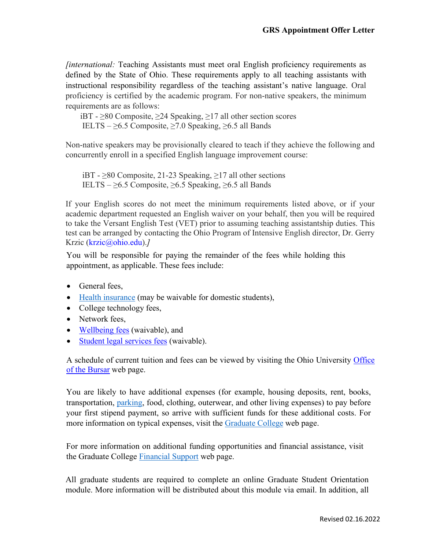*finternational: Teaching Assistants must meet oral English proficiency requirements as* defined by the State of Ohio. These requirements apply to all teaching assistants with instructional responsibility regardless of the teaching assistant's native language. Oral proficiency is certified by the academic program. For non-native speakers, the minimum requirements are as follows:

 iBT - ≥80 Composite, ≥24 Speaking, ≥17 all other section scores IELTS –  $\geq$ 6.5 Composite,  $\geq$ 7.0 Speaking,  $\geq$ 6.5 all Bands

Non-native speakers may be provisionally cleared to teach if they achieve the following and concurrently enroll in a specified English language improvement course:

iBT -  $\geq$ 80 Composite, 21-23 Speaking,  $\geq$ 17 all other sections IELTS –  $\geq 6.5$  Composite,  $\geq 6.5$  Speaking,  $\geq 6.5$  all Bands

If your English scores do not meet the minimum requirements listed above, or if your academic department requested an English waiver on your behalf, then you will be required to take the Versant English Test (VET) prior to assuming teaching assistantship duties. This test can be arranged by contacting the Ohio Program of Intensive English director, Dr. Gerry Krzic [\(krzic@ohio.edu\)](mailto:krzic@ohio.edu).*]*

You will be responsible for paying the remainder of the fees while holding this appointment, as applicable. These fees include:

- General fees,
- [Health insurance](https://www.ohio.edu/student-insurance/) (may be waivable for domestic students),
- College technology fees,
- Network fees.
- [Wellbeing fees](https://www.ohio.edu/student-affairs/wellbeing) (waivable), and
- [Student legal services fees](https://www.studentlegalrights.org/) (waivable).

A schedule of current tuition and fees can be viewed by visiting the Ohio University [Office](https://www.ohio.edu/bursar/graduate-tuition)  [of the Bursar](https://www.ohio.edu/bursar/graduate-tuition) web [page.](https://www.ohio.edu/bursar/graduate-tuition.cfm)

You are likely to have additional expenses (for example, housing deposits, rent, books, transportation, [parking, f](https://www.ohio.edu/parking/index.cfm)ood, clothing, outerwear, and other living expenses) to pay before your first stipend payment, so arrive with sufficient funds for these additional costs. For more information on typical expenses, visit the [Graduate College](https://www.ohio.edu/graduate/prospective-students/tuition) web page.

For more information on additional funding opportunities and financial assistance, visit the Graduate College [Financial Support](https://www.ohio.edu/graduate/prospective-students/financial-support) web page.

All graduate students are required to complete an online Graduate Student Orientation module. More information will be distributed about this module via email. In addition, all